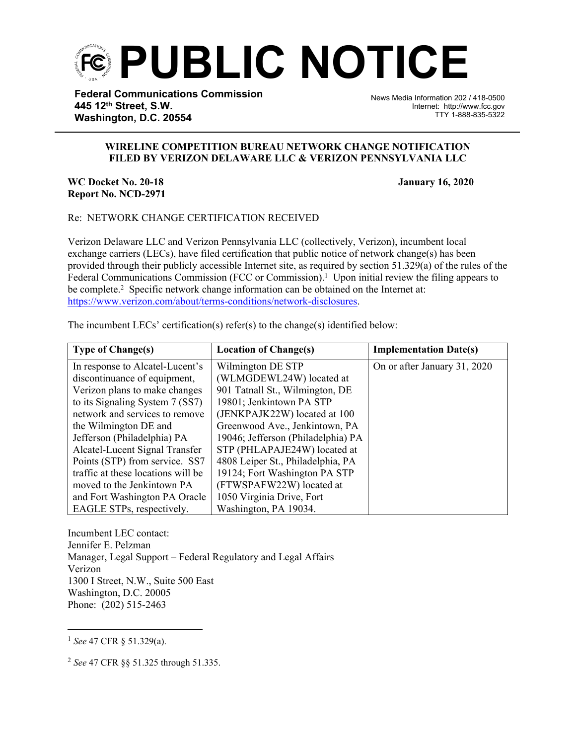

**Federal Communications Commission 445 12th Street, S.W. Washington, D.C. 20554**

News Media Information 202 / 418-0500 Internet: http://www.fcc.gov TTY 1-888-835-5322

## **WIRELINE COMPETITION BUREAU NETWORK CHANGE NOTIFICATION FILED BY VERIZON DELAWARE LLC & VERIZON PENNSYLVANIA LLC**

j

**WC Docket No. 20-18 January 16, 2020 Report No. NCD-2971**

## Re: NETWORK CHANGE CERTIFICATION RECEIVED

Verizon Delaware LLC and Verizon Pennsylvania LLC (collectively, Verizon), incumbent local exchange carriers (LECs), have filed certification that public notice of network change(s) has been provided through their publicly accessible Internet site, as required by section 51.329(a) of the rules of the Federal Communications Commission (FCC or Commission).<sup>1</sup> Upon initial review the filing appears to be complete.<sup>2</sup> Specific network change information can be obtained on the Internet at: [https://www.verizon.com/about/terms-conditions/network-disclosures.](https://www.verizon.com/about/terms-conditions/network-disclosures)

The incumbent LECs' certification(s) refer(s) to the change(s) identified below:

| <b>Type of Change(s)</b>           | <b>Location of Change(s)</b>       | <b>Implementation Date(s)</b> |
|------------------------------------|------------------------------------|-------------------------------|
| In response to Alcatel-Lucent's    | Wilmington DE STP                  | On or after January 31, 2020  |
| discontinuance of equipment,       | (WLMGDEWL24W) located at           |                               |
| Verizon plans to make changes      | 901 Tatnall St., Wilmington, DE    |                               |
| to its Signaling System 7 (SS7)    | 19801; Jenkintown PA STP           |                               |
| network and services to remove     | (JENKPAJK22W) located at 100       |                               |
| the Wilmington DE and              | Greenwood Ave., Jenkintown, PA     |                               |
| Jefferson (Philadelphia) PA        | 19046; Jefferson (Philadelphia) PA |                               |
| Alcatel-Lucent Signal Transfer     | STP (PHLAPAJE24W) located at       |                               |
| Points (STP) from service. SS7     | 4808 Leiper St., Philadelphia, PA  |                               |
| traffic at these locations will be | 19124; Fort Washington PA STP      |                               |
| moved to the Jenkintown PA         | (FTWSPAFW22W) located at           |                               |
| and Fort Washington PA Oracle      | 1050 Virginia Drive, Fort          |                               |
| EAGLE STPs, respectively.          | Washington, PA 19034.              |                               |

Incumbent LEC contact: Jennifer E. Pelzman Manager, Legal Support – Federal Regulatory and Legal Affairs Verizon 1300 I Street, N.W., Suite 500 East Washington, D.C. 20005 Phone: (202) 515-2463

<sup>1</sup> *See* 47 CFR § 51.329(a).

<sup>2</sup> *See* 47 CFR §§ 51.325 through 51.335.